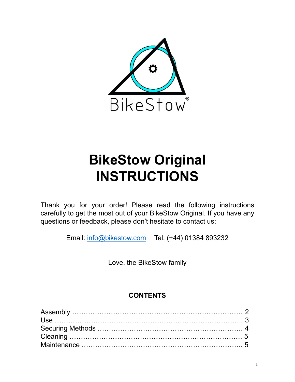

# INSTRUCTIONS

 $BikeStow$  Original<br>
INSTRUCTIONS<br>
Thank you for your order! Please read the following instructions<br>
carefully to get the most out of your BikeStow Original. If you have any<br>
questions or feedback, please don't hesitate to co BikeStow Original<br>BikeStow Original.<br>INSTRUCTIONS<br>Thank you for your order! Please read the following instructions<br>carefully to get the most out of your BikeStow Original. If you have any<br>questions or feedback, please don'  $BikeStow Original$ <br> **BikeStow Original**<br>
INSTRUCTIONS<br>
Thank you for your order! Please read the following instructions<br>
carefully to get the most out of your BikeStow Original. If you have any<br>
questions or feedback, please don't h **Love Stow Original<br>
STRUCTIONS**<br>
order! Please read the following instructions<br>
st out of your BikeStow Original. If you have any<br>
please don't hesitate to contact us:<br>
ikestow.com Tel: (+44) 01384 893232<br>
Love, the BikeS

Email: info@bikestow.com Tel: (+44) 01384 893232

### **CONTENTS**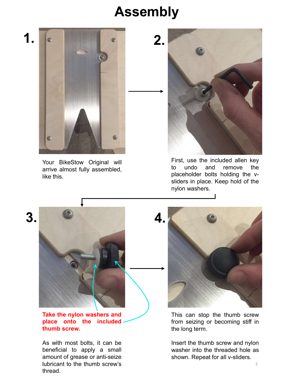## Assembly





3.



thread.

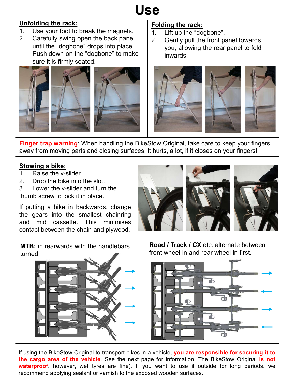# Use

### Unfolding the rack:

- 
- **USE**<br> **Unfolding the rack:**<br>
1. Use your foot to break the magnets.<br>
2. Carefully swing open the back panel<br>
until the "dogbone" drops into place.<br>
Push down on the "dogbone" to make<br>
sure it is firmly seated **Unfolding the rack:**<br>
1. Use your foot to break the magnets.<br>
2. Carefully swing open the back panel<br>
until the "dogbone" drops into place.<br>
Push down on the "dogbone" to make<br>
sure it is firmly seated. until the "dogbone" drops into place. Push down on the "dogbone" to make sure it is firmly seated.



### Folding the rack:

- 
- Folding the rack:<br>
1. Lift up the "dogbone".<br>
2. Gently pull the front panel towards<br>
you, allowing the rear panel to fold<br>
inwards. **2.** Conting the rack:<br>
1. Lift up the "dogbone".<br>
2. Gently pull the front panel towards<br>
you, allowing the rear panel to fold<br>
inwards. you, allowing the rear panel to fold inwards.



away from moving parts and closing surfaces. It hurts, a lot, if it closes on your fingers!

#### Stowing a bike:

- 
- 
- thumb screw to lock it in place.

Finger trap warning: When handling the BikeStow Original, take care to keep your fingers<br>away from moving parts and closing surfaces. It hurts, a lot, if it closes on your fingers!<br>1. Raise the v-slider.<br>1. Raise the v-sli Finger trap warning: When handling the BikeStow Original, take care to keep your finger<br>taway from moving parts and closing surfaces. It hurts, a lot, if it closes on your fingers!<br>Stowing a bike:<br>2. Drop the bike into the Finger trap warning: When handling the BikeStow Original, take care to keep your finger and way from moving parts and closing surfaces. It hurts, a lot, if it closes on your fingers!<br>
Stowing a bike:<br>
1. Raise the v-slider Finger trap warning: When handling the BikeStow Original, take care to keep your fingers<br>away from moving parts and closing surfaces. It hurts, a lot, if it closes on your fingers!<br>Stowing a bike:<br>1. Raise the v-slider.<br>2.

**MTB:** in rearwards with the handlebars turned.

Road / Track / CX etc: alternate between front wheel in and rear wheel in first.



waterproof, however, wet tyres are fine). If you want to use it outside for long periods, we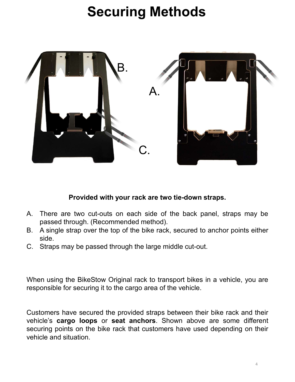# Securing Methods



#### Provided with your rack are two tie-down straps.

- 
- side.
- 

**Frovided with your rack are two tie-down straps.**<br>A. There are two cut-outs on each side of the back panel, straps may be passed through. (Recommended method).<br>B. A single strap over the top of the bike rack, secured to a

**Example 19 Frow ideal of the straps have between the provided with your rack are two tie-down straps may be passed through.** (Recommended method). A single strap over the top of the bike rack, secured to anchor points eit **Frovided with your rack are two tie-down straps.**<br>A. There are two cut-outs on each side of the back panel, straps may be passed through. (Recommended method).<br>B. A single strap over the top of the bike rack, secured to a A. There are two cut-outs on each side of the back panel, straps may be passed through. (Recommended method).<br>B. A single strap over the top of the bike rack, secured to anchor points either side.<br>C. Straps may be passed t A. There are two cut-outs on each side of the back panel,<br>passed through. (Recommended method).<br>B. A single strap over the top of the bike rack, secured to ancher side.<br>C. Straps may be passed through the large middle cut-